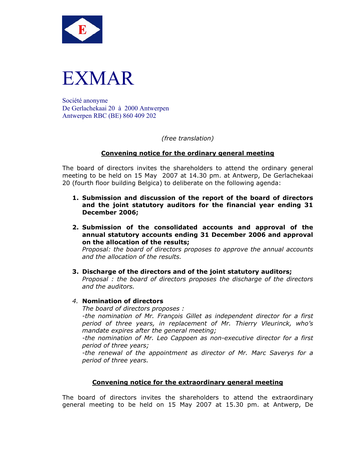



Société anonyme De Gerlachekaai 20 à 2000 Antwerpen Antwerpen RBC (BE) 860 409 202

*(free translation)* 

## **Convening notice for the ordinary general meeting**

The board of directors invites the shareholders to attend the ordinary general meeting to be held on 15 May 2007 at 14.30 pm. at Antwerp, De Gerlachekaai 20 (fourth floor building Belgica) to deliberate on the following agenda:

- **1. Submission and discussion of the report of the board of directors and the joint statutory auditors for the financial year ending 31 December 2006;**
- **2. Submission of the consolidated accounts and approval of the annual statutory accounts ending 31 December 2006 and approval on the allocation of the results;**

*Proposal: the board of directors proposes to approve the annual accounts and the allocation of the results.* 

### **3. Discharge of the directors and of the joint statutory auditors;**

*Proposal : the board of directors proposes the discharge of the directors and the auditors.* 

### *4.* **Nomination of directors**

*The board of directors proposes :* 

*-the nomination of Mr. François Gillet as independent director for a first period of three years, in replacement of Mr. Thierry Vleurinck, who's mandate expires after the general meeting;* 

*-the nomination of Mr. Leo Cappoen as non-executive director for a first period of three years;* 

*-the renewal of the appointment as director of Mr. Marc Saverys for a period of three years.*

### **Convening notice for the extraordinary general meeting**

The board of directors invites the shareholders to attend the extraordinary general meeting to be held on 15 May 2007 at 15.30 pm. at Antwerp, De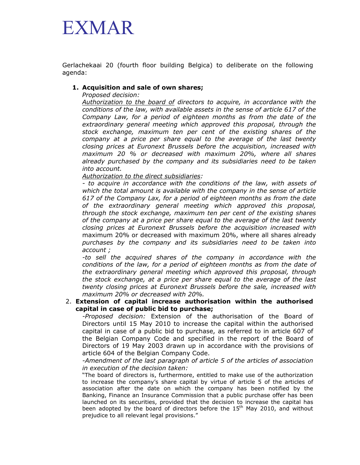# EXMAR

Gerlachekaai 20 (fourth floor building Belgica) to deliberate on the following agenda:

## **1. Acquisition and sale of own shares;**

*Proposed decision:* 

*Authorization to the board of directors to acquire, in accordance with the conditions of the law, with available assets in the sense of article 617 of the Company Law, for a period of eighteen months as from the date of the extraordinary general meeting which approved this proposal, through the stock exchange, maximum ten per cent of the existing shares of the company at a price per share equal to the average of the last twenty closing prices at Euronext Brussels before the acquisition, increased with maximum 20 % or decreased with maximum 20%, where all shares already purchased by the company and its subsidiaries need to be taken into account.* 

*Authorization to the direct subsidiaries:* 

*- to acquire in accordance with the conditions of the law, with assets of which the total amount is available with the company in the sense of article 617 of the Company Lax, for a period of eighteen months as from the date of the extraordinary general meeting which approved this proposal, through the stock exchange, maximum ten per cent of the existing shares of the company at a price per share equal to the average of the last twenty closing prices at Euronext Brussels before the acquisition increased with*  maximum 20% or decreased with maximum 20%, where all shares already *purchases by the company and its subsidiaries need to be taken into account ;* 

*-to sell the acquired shares of the company in accordance with the conditions of the law, for a period of eighteen months as from the date of the extraordinary general meeting which approved this proposal, through the stock exchange, at a price per share equal to the average of the last twenty closing prices at Euronext Brussels before the sale, increased with maximum 20% or decreased with 20%.*

### 2. **Extension of capital increase authorisation within the authorised capital in case of public bid to purchase;**

*-Proposed decision:* Extension of the authorisation of the Board of Directors until 15 May 2010 to increase the capital within the authorised capital in case of a public bid to purchase, as referred to in article 607 of the Belgian Company Code and specified in the report of the Board of Directors of 19 May 2003 drawn up in accordance with the provisions of article 604 of the Belgian Company Code.

*-Amendment of the last paragraph of article 5 of the articles of association in execution of the decision taken:* 

"The board of directors is, furthermore, entitled to make use of the authorization to increase the company's share capital by virtue of article 5 of the articles of association after the date on which the company has been notified by the Banking, Finance an Insurance Commission that a public purchase offer has been launched on its securities, provided that the decision to increase the capital has been adopted by the board of directors before the 15<sup>th</sup> May 2010, and without prejudice to all relevant legal provisions."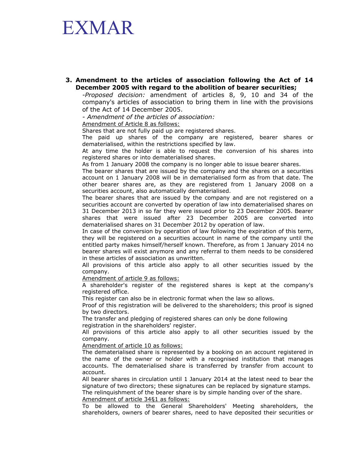## EXMAR

**3. Amendment to the articles of association following the Act of 14 December 2005 with regard to the abolition of bearer securities;** 

*-Proposed decision:* amendment of articles 8, 9, 10 and 34 of the company's articles of association to bring them in line with the provisions of the Act of 14 December 2005.

*- Amendment of the articles of association:* 

Amendment of Article 8 as follows:

Shares that are not fully paid up are registered shares.

The paid up shares of the company are registered, bearer shares or dematerialised, within the restrictions specified by law.

At any time the holder is able to request the conversion of his shares into registered shares or into dematerialised shares.

As from 1 January 2008 the company is no longer able to issue bearer shares.

The bearer shares that are issued by the company and the shares on a securities account on 1 January 2008 will be in dematerialised form as from that date. The other bearer shares are, as they are registered from 1 January 2008 on a securities account, also automatically dematerialised.

The bearer shares that are issued by the company and are not registered on a securities account are converted by operation of law into dematerialised shares on 31 December 2013 in so far they were issued prior to 23 December 2005. Bearer shares that were issued after 23 December 2005 are converted into dematerialised shares on 31 December 2012 by operation of law.

In case of the conversion by operation of law following the expiration of this term, they will be registered on a securities account in name of the company until the entitled party makes himself/herself known. Therefore, as from 1 January 2014 no bearer shares will exist anymore and any referral to them needs to be considered in these articles of association as unwritten.

All provisions of this article also apply to all other securities issued by the company.

Amendment of article 9 as follows:

A shareholder's register of the registered shares is kept at the company's registered office.

This register can also be in electronic format when the law so allows.

Proof of this registration will be delivered to the shareholders; this proof is signed by two directors.

The transfer and pledging of registered shares can only be done following registration in the shareholders' register.

All provisions of this article also apply to all other securities issued by the company.

Amendment of article 10 as follows:

The dematerialised share is represented by a booking on an account registered in the name of the owner or holder with a recognised institution that manages accounts. The dematerialised share is transferred by transfer from account to account.

All bearer shares in circulation until 1 January 2014 at the latest need to bear the signature of two directors; these signatures can be replaced by signature stamps. The relinquishment of the bearer share is by simple handing over of the share. Amendment of article 34§1 as follows:

To be allowed to the General Shareholders' Meeting shareholders, the shareholders, owners of bearer shares, need to have deposited their securities or